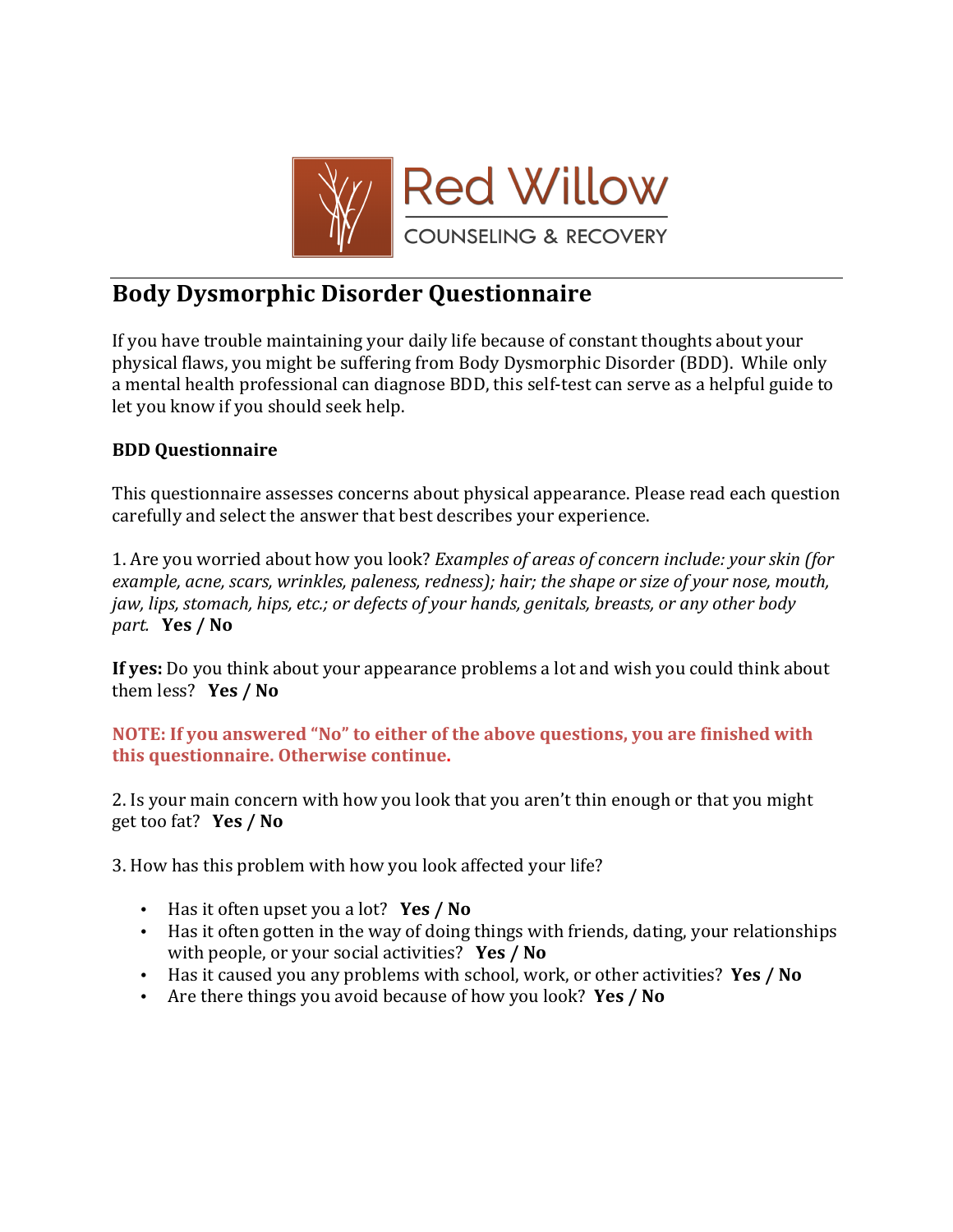

## **Body!Dysmorphic!Disorder!Questionnaire!**

If you have trouble maintaining your daily life because of constant thoughts about your physical flaws, you might be suffering from Body Dysmorphic Disorder (BDD). While only a mental health professional can diagnose BDD, this self-test can serve as a helpful guide to let you know if you should seek help.

## **BDD!Questionnaire**

This questionnaire assesses concerns about physical appearance. Please read each question carefully and select the answer that best describes your experience.

1. Are you worried about how you look? *Examples of areas of concern include: your skin (for*) *example, acne, scars, wrinkles, paleness, redness); hair; the shape or size of your nose, mouth, jaw, lips, stomach, hips, etc.; or defects of your hands, genitals, breasts, or any other body part.* **Yes** / No

**If yes:** Do you think about your appearance problems a lot and wish you could think about them less? **Yes / No** 

**NOTE: If you answered "No" to either of the above questions, you are finished with this!questionnaire.!Otherwise!continue.**

2. Is your main concern with how you look that you aren't thin enough or that you might get too fat? **Yes / No** 

3. How has this problem with how you look affected your life?

- Has it often upset you a lot? **Yes / No**
- Has it often gotten in the way of doing things with friends, dating, your relationships with people, or your social activities? **Yes / No**
- Has it caused you any problems with school, work, or other activities? Yes / No
- Are there things you avoid because of how you look? Yes / No